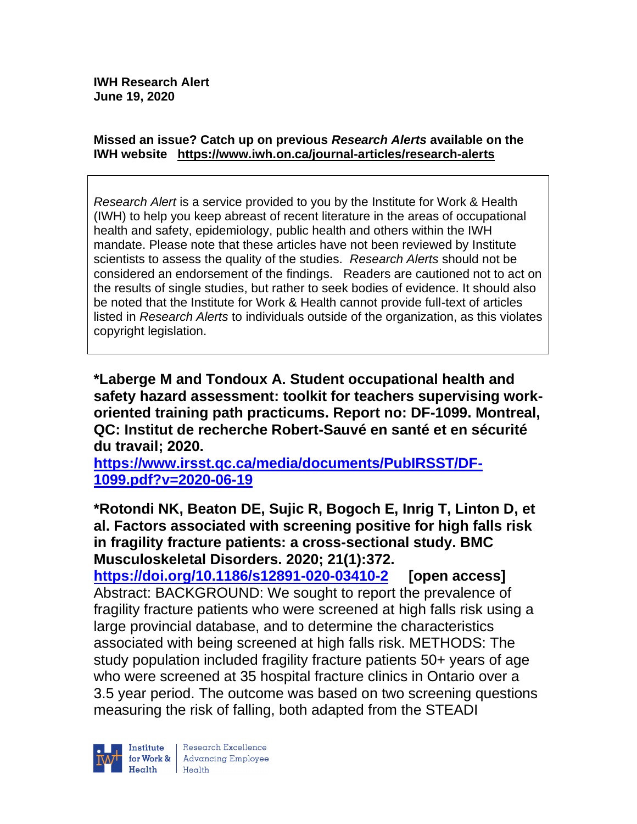#### **Missed an issue? Catch up on previous** *Research Alerts* **available on the [IWH website](http://www.iwh.on.ca/research-alerts) <https://www.iwh.on.ca/journal-articles/research-alerts>**

*Research Alert* is a service provided to you by the Institute for Work & Health (IWH) to help you keep abreast of recent literature in the areas of occupational health and safety, epidemiology, public health and others within the IWH mandate. Please note that these articles have not been reviewed by Institute scientists to assess the quality of the studies. *Research Alerts* should not be considered an endorsement of the findings. Readers are cautioned not to act on the results of single studies, but rather to seek bodies of evidence. It should also be noted that the Institute for Work & Health cannot provide full-text of articles listed in *Research Alerts* to individuals outside of the organization, as this violates copyright legislation.

**\*Laberge M and Tondoux A. Student occupational health and safety hazard assessment: toolkit for teachers supervising workoriented training path practicums. Report no: DF-1099. Montreal, QC: Institut de recherche Robert-Sauvé en santé et en sécurité du travail; 2020.** 

**[https://www.irsst.qc.ca/media/documents/PubIRSST/DF-](https://www.irsst.qc.ca/media/documents/PubIRSST/DF-1099.pdf?v=2020-06-19)[1099.pdf?v=2020-06-19](https://www.irsst.qc.ca/media/documents/PubIRSST/DF-1099.pdf?v=2020-06-19)**

**\*Rotondi NK, Beaton DE, Sujic R, Bogoch E, Inrig T, Linton D, et al. Factors associated with screening positive for high falls risk in fragility fracture patients: a cross-sectional study. BMC Musculoskeletal Disorders. 2020; 21(1):372.**

**<https://doi.org/10.1186/s12891-020-03410-2> [open access]** Abstract: BACKGROUND: We sought to report the prevalence of fragility fracture patients who were screened at high falls risk using a large provincial database, and to determine the characteristics associated with being screened at high falls risk. METHODS: The study population included fragility fracture patients 50+ years of age who were screened at 35 hospital fracture clinics in Ontario over a 3.5 year period. The outcome was based on two screening questions measuring the risk of falling, both adapted from the STEADI

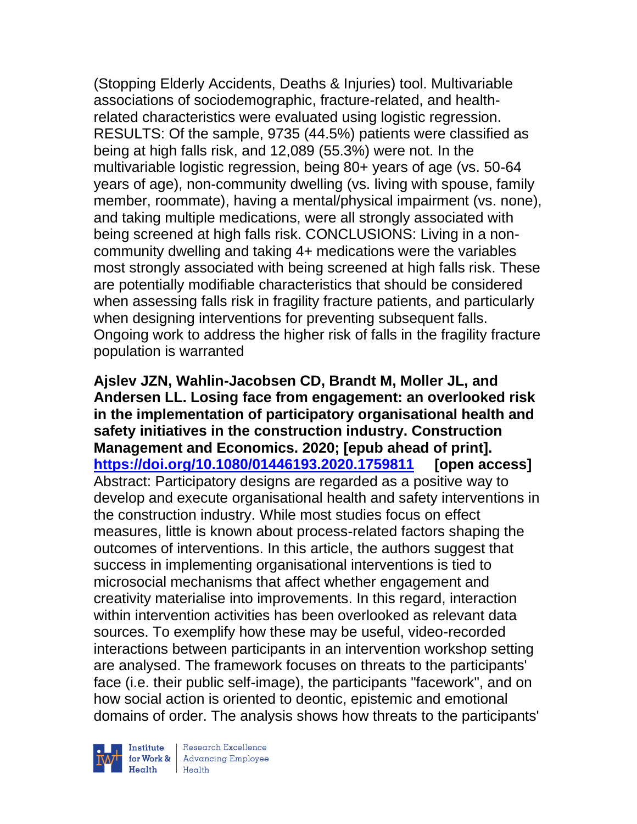(Stopping Elderly Accidents, Deaths & Injuries) tool. Multivariable associations of sociodemographic, fracture-related, and healthrelated characteristics were evaluated using logistic regression. RESULTS: Of the sample, 9735 (44.5%) patients were classified as being at high falls risk, and 12,089 (55.3%) were not. In the multivariable logistic regression, being 80+ years of age (vs. 50-64 years of age), non-community dwelling (vs. living with spouse, family member, roommate), having a mental/physical impairment (vs. none), and taking multiple medications, were all strongly associated with being screened at high falls risk. CONCLUSIONS: Living in a noncommunity dwelling and taking 4+ medications were the variables most strongly associated with being screened at high falls risk. These are potentially modifiable characteristics that should be considered when assessing falls risk in fragility fracture patients, and particularly when designing interventions for preventing subsequent falls. Ongoing work to address the higher risk of falls in the fragility fracture population is warranted

**Ajslev JZN, Wahlin-Jacobsen CD, Brandt M, Moller JL, and Andersen LL. Losing face from engagement: an overlooked risk in the implementation of participatory organisational health and safety initiatives in the construction industry. Construction Management and Economics. 2020; [epub ahead of print]. <https://doi.org/10.1080/01446193.2020.1759811> [open access]** Abstract: Participatory designs are regarded as a positive way to develop and execute organisational health and safety interventions in the construction industry. While most studies focus on effect measures, little is known about process-related factors shaping the outcomes of interventions. In this article, the authors suggest that success in implementing organisational interventions is tied to microsocial mechanisms that affect whether engagement and creativity materialise into improvements. In this regard, interaction within intervention activities has been overlooked as relevant data sources. To exemplify how these may be useful, video-recorded interactions between participants in an intervention workshop setting are analysed. The framework focuses on threats to the participants' face (i.e. their public self-image), the participants "facework", and on how social action is oriented to deontic, epistemic and emotional domains of order. The analysis shows how threats to the participants'



Research Excellence for Work & Advancing Employee<br>Health Health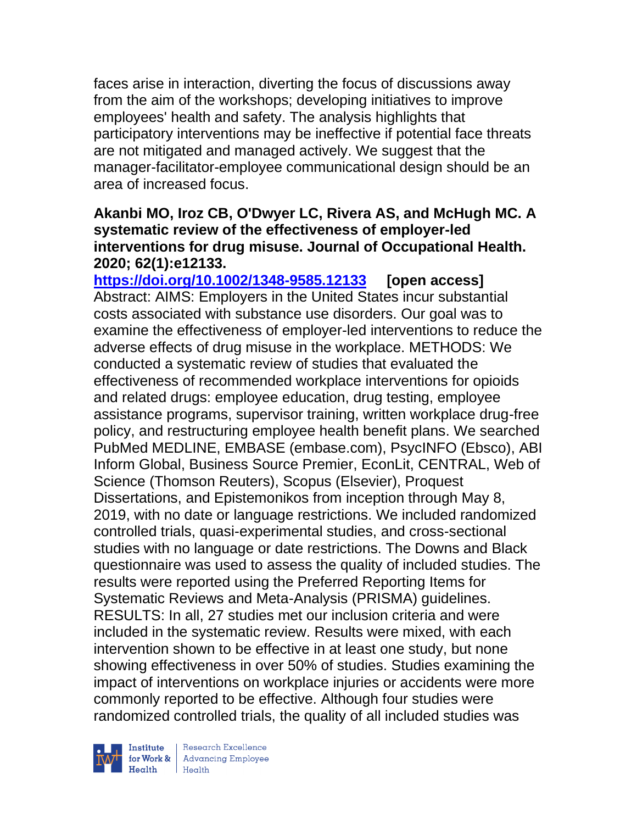faces arise in interaction, diverting the focus of discussions away from the aim of the workshops; developing initiatives to improve employees' health and safety. The analysis highlights that participatory interventions may be ineffective if potential face threats are not mitigated and managed actively. We suggest that the manager-facilitator-employee communicational design should be an area of increased focus.

### **Akanbi MO, Iroz CB, O'Dwyer LC, Rivera AS, and McHugh MC. A systematic review of the effectiveness of employer-led interventions for drug misuse. Journal of Occupational Health. 2020; 62(1):e12133.**

**<https://doi.org/10.1002/1348-9585.12133> [open access]** Abstract: AIMS: Employers in the United States incur substantial costs associated with substance use disorders. Our goal was to examine the effectiveness of employer-led interventions to reduce the adverse effects of drug misuse in the workplace. METHODS: We conducted a systematic review of studies that evaluated the effectiveness of recommended workplace interventions for opioids and related drugs: employee education, drug testing, employee assistance programs, supervisor training, written workplace drug-free policy, and restructuring employee health benefit plans. We searched PubMed MEDLINE, EMBASE (embase.com), PsycINFO (Ebsco), ABI Inform Global, Business Source Premier, EconLit, CENTRAL, Web of Science (Thomson Reuters), Scopus (Elsevier), Proquest Dissertations, and Epistemonikos from inception through May 8, 2019, with no date or language restrictions. We included randomized controlled trials, quasi-experimental studies, and cross-sectional studies with no language or date restrictions. The Downs and Black questionnaire was used to assess the quality of included studies. The results were reported using the Preferred Reporting Items for Systematic Reviews and Meta-Analysis (PRISMA) guidelines. RESULTS: In all, 27 studies met our inclusion criteria and were included in the systematic review. Results were mixed, with each intervention shown to be effective in at least one study, but none showing effectiveness in over 50% of studies. Studies examining the impact of interventions on workplace injuries or accidents were more commonly reported to be effective. Although four studies were randomized controlled trials, the quality of all included studies was



| Research Excellence for Work & Advancing Employee<br>Health Health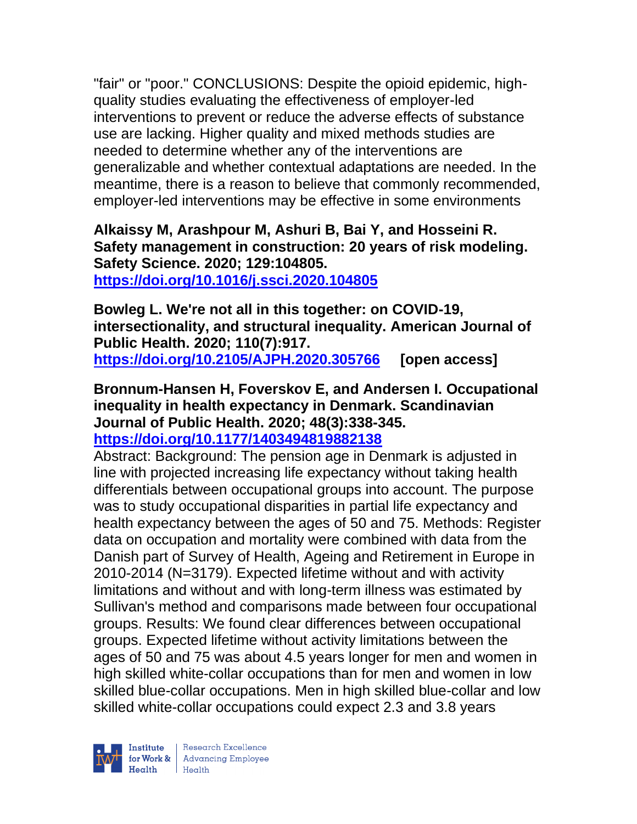"fair" or "poor." CONCLUSIONS: Despite the opioid epidemic, highquality studies evaluating the effectiveness of employer-led interventions to prevent or reduce the adverse effects of substance use are lacking. Higher quality and mixed methods studies are needed to determine whether any of the interventions are generalizable and whether contextual adaptations are needed. In the meantime, there is a reason to believe that commonly recommended, employer-led interventions may be effective in some environments

# **Alkaissy M, Arashpour M, Ashuri B, Bai Y, and Hosseini R. Safety management in construction: 20 years of risk modeling. Safety Science. 2020; 129:104805.**

**<https://doi.org/10.1016/j.ssci.2020.104805>** 

**Bowleg L. We're not all in this together: on COVID-19, intersectionality, and structural inequality. American Journal of Public Health. 2020; 110(7):917. <https://doi.org/10.2105/AJPH.2020.305766> [open access]**

#### **Bronnum-Hansen H, Foverskov E, and Andersen I. Occupational inequality in health expectancy in Denmark. Scandinavian Journal of Public Health. 2020; 48(3):338-345. <https://doi.org/10.1177/1403494819882138>**

Abstract: Background: The pension age in Denmark is adjusted in line with projected increasing life expectancy without taking health differentials between occupational groups into account. The purpose was to study occupational disparities in partial life expectancy and health expectancy between the ages of 50 and 75. Methods: Register data on occupation and mortality were combined with data from the Danish part of Survey of Health, Ageing and Retirement in Europe in 2010-2014 (N=3179). Expected lifetime without and with activity limitations and without and with long-term illness was estimated by Sullivan's method and comparisons made between four occupational groups. Results: We found clear differences between occupational groups. Expected lifetime without activity limitations between the ages of 50 and 75 was about 4.5 years longer for men and women in high skilled white-collar occupations than for men and women in low skilled blue-collar occupations. Men in high skilled blue-collar and low skilled white-collar occupations could expect 2.3 and 3.8 years

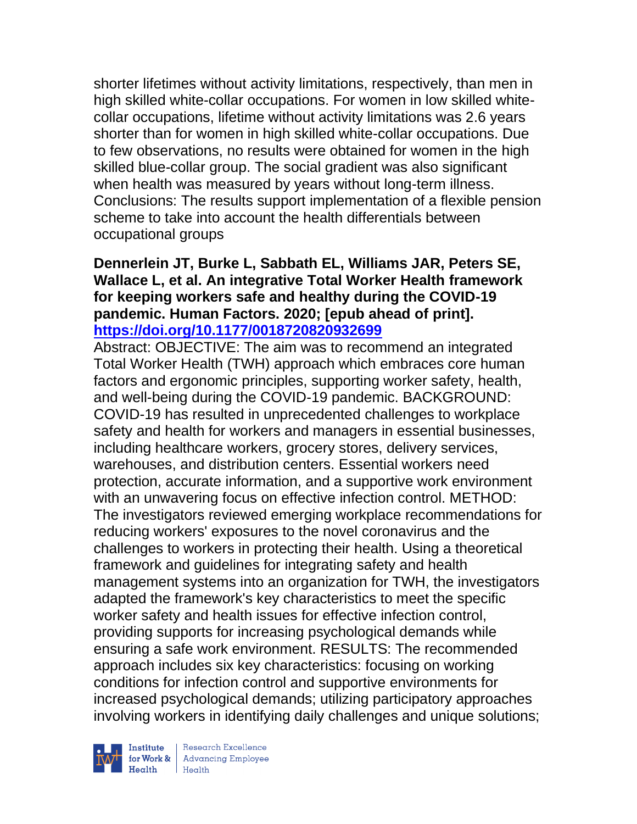shorter lifetimes without activity limitations, respectively, than men in high skilled white-collar occupations. For women in low skilled whitecollar occupations, lifetime without activity limitations was 2.6 years shorter than for women in high skilled white-collar occupations. Due to few observations, no results were obtained for women in the high skilled blue-collar group. The social gradient was also significant when health was measured by years without long-term illness. Conclusions: The results support implementation of a flexible pension scheme to take into account the health differentials between occupational groups

## **Dennerlein JT, Burke L, Sabbath EL, Williams JAR, Peters SE, Wallace L, et al. An integrative Total Worker Health framework for keeping workers safe and healthy during the COVID-19 pandemic. Human Factors. 2020; [epub ahead of print]. <https://doi.org/10.1177/0018720820932699>**

Abstract: OBJECTIVE: The aim was to recommend an integrated Total Worker Health (TWH) approach which embraces core human factors and ergonomic principles, supporting worker safety, health, and well-being during the COVID-19 pandemic. BACKGROUND: COVID-19 has resulted in unprecedented challenges to workplace safety and health for workers and managers in essential businesses, including healthcare workers, grocery stores, delivery services, warehouses, and distribution centers. Essential workers need protection, accurate information, and a supportive work environment with an unwavering focus on effective infection control. METHOD: The investigators reviewed emerging workplace recommendations for reducing workers' exposures to the novel coronavirus and the challenges to workers in protecting their health. Using a theoretical framework and guidelines for integrating safety and health management systems into an organization for TWH, the investigators adapted the framework's key characteristics to meet the specific worker safety and health issues for effective infection control, providing supports for increasing psychological demands while ensuring a safe work environment. RESULTS: The recommended approach includes six key characteristics: focusing on working conditions for infection control and supportive environments for increased psychological demands; utilizing participatory approaches involving workers in identifying daily challenges and unique solutions;



| Research Excellence Finantium Research Excellence<br>
For Work & Advancing Employee<br>
Health Health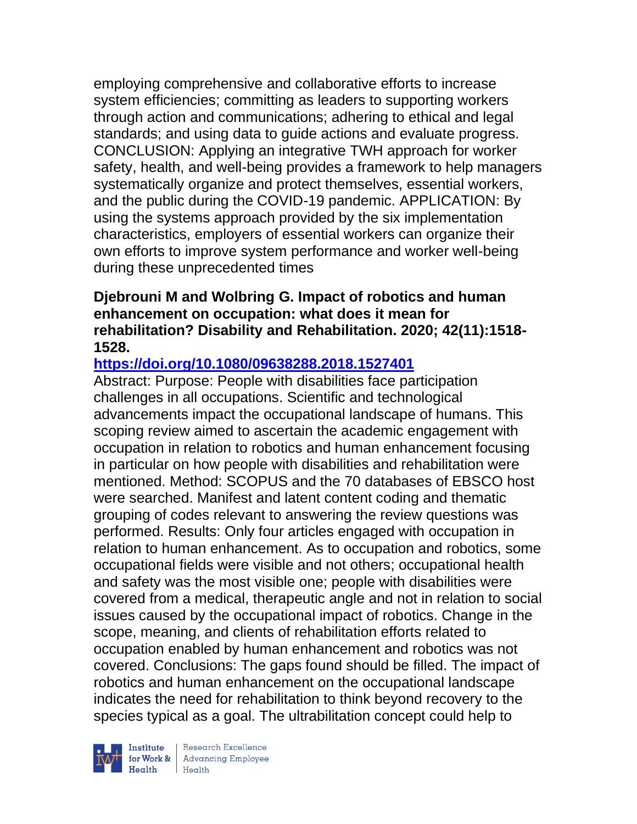employing comprehensive and collaborative efforts to increase system efficiencies; committing as leaders to supporting workers through action and communications; adhering to ethical and legal standards; and using data to guide actions and evaluate progress. CONCLUSION: Applying an integrative TWH approach for worker safety, health, and well-being provides a framework to help managers systematically organize and protect themselves, essential workers, and the public during the COVID-19 pandemic. APPLICATION: By using the systems approach provided by the six implementation characteristics, employers of essential workers can organize their own efforts to improve system performance and worker well-being during these unprecedented times

## **Djebrouni M and Wolbring G. Impact of robotics and human enhancement on occupation: what does it mean for rehabilitation? Disability and Rehabilitation. 2020; 42(11):1518- 1528.**

# **<https://doi.org/10.1080/09638288.2018.1527401>**

Abstract: Purpose: People with disabilities face participation challenges in all occupations. Scientific and technological advancements impact the occupational landscape of humans. This scoping review aimed to ascertain the academic engagement with occupation in relation to robotics and human enhancement focusing in particular on how people with disabilities and rehabilitation were mentioned. Method: SCOPUS and the 70 databases of EBSCO host were searched. Manifest and latent content coding and thematic grouping of codes relevant to answering the review questions was performed. Results: Only four articles engaged with occupation in relation to human enhancement. As to occupation and robotics, some occupational fields were visible and not others; occupational health and safety was the most visible one; people with disabilities were covered from a medical, therapeutic angle and not in relation to social issues caused by the occupational impact of robotics. Change in the scope, meaning, and clients of rehabilitation efforts related to occupation enabled by human enhancement and robotics was not covered. Conclusions: The gaps found should be filled. The impact of robotics and human enhancement on the occupational landscape indicates the need for rehabilitation to think beyond recovery to the species typical as a goal. The ultrabilitation concept could help to



 $\begin{tabular}{|l|} Institute & Research Excellence \\ \hline for Work & Advancing Employee \\ Health & Health \\ \end{tabular}$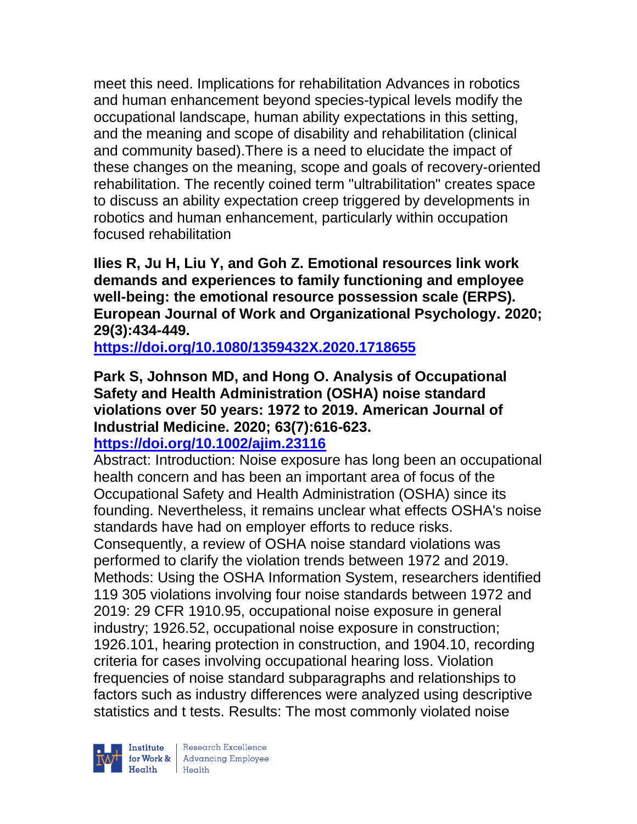meet this need. Implications for rehabilitation Advances in robotics and human enhancement beyond species-typical levels modify the occupational landscape, human ability expectations in this setting, and the meaning and scope of disability and rehabilitation (clinical and community based).There is a need to elucidate the impact of these changes on the meaning, scope and goals of recovery-oriented rehabilitation. The recently coined term "ultrabilitation" creates space to discuss an ability expectation creep triggered by developments in robotics and human enhancement, particularly within occupation focused rehabilitation

**Ilies R, Ju H, Liu Y, and Goh Z. Emotional resources link work demands and experiences to family functioning and employee well-being: the emotional resource possession scale (ERPS). European Journal of Work and Organizational Psychology. 2020; 29(3):434-449.** 

**<https://doi.org/10.1080/1359432X.2020.1718655>** 

# **Park S, Johnson MD, and Hong O. Analysis of Occupational Safety and Health Administration (OSHA) noise standard violations over 50 years: 1972 to 2019. American Journal of Industrial Medicine. 2020; 63(7):616-623.**

# **<https://doi.org/10.1002/ajim.23116>**

Abstract: Introduction: Noise exposure has long been an occupational health concern and has been an important area of focus of the Occupational Safety and Health Administration (OSHA) since its founding. Nevertheless, it remains unclear what effects OSHA's noise standards have had on employer efforts to reduce risks. Consequently, a review of OSHA noise standard violations was performed to clarify the violation trends between 1972 and 2019. Methods: Using the OSHA Information System, researchers identified 119 305 violations involving four noise standards between 1972 and 2019: 29 CFR 1910.95, occupational noise exposure in general industry; 1926.52, occupational noise exposure in construction; 1926.101, hearing protection in construction, and 1904.10, recording criteria for cases involving occupational hearing loss. Violation frequencies of noise standard subparagraphs and relationships to factors such as industry differences were analyzed using descriptive statistics and t tests. Results: The most commonly violated noise

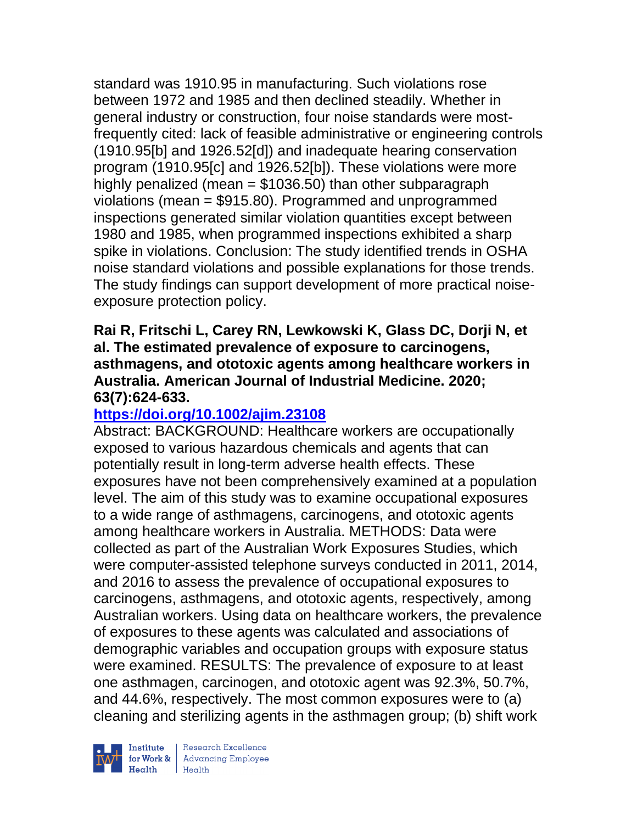standard was 1910.95 in manufacturing. Such violations rose between 1972 and 1985 and then declined steadily. Whether in general industry or construction, four noise standards were mostfrequently cited: lack of feasible administrative or engineering controls (1910.95[b] and 1926.52[d]) and inadequate hearing conservation program (1910.95[c] and 1926.52[b]). These violations were more highly penalized (mean  $= $1036.50$ ) than other subparagraph violations (mean = \$915.80). Programmed and unprogrammed inspections generated similar violation quantities except between 1980 and 1985, when programmed inspections exhibited a sharp spike in violations. Conclusion: The study identified trends in OSHA noise standard violations and possible explanations for those trends. The study findings can support development of more practical noiseexposure protection policy.

#### **Rai R, Fritschi L, Carey RN, Lewkowski K, Glass DC, Dorji N, et al. The estimated prevalence of exposure to carcinogens, asthmagens, and ototoxic agents among healthcare workers in Australia. American Journal of Industrial Medicine. 2020; 63(7):624-633.**

## **<https://doi.org/10.1002/ajim.23108>**

Abstract: BACKGROUND: Healthcare workers are occupationally exposed to various hazardous chemicals and agents that can potentially result in long-term adverse health effects. These exposures have not been comprehensively examined at a population level. The aim of this study was to examine occupational exposures to a wide range of asthmagens, carcinogens, and ototoxic agents among healthcare workers in Australia. METHODS: Data were collected as part of the Australian Work Exposures Studies, which were computer-assisted telephone surveys conducted in 2011, 2014, and 2016 to assess the prevalence of occupational exposures to carcinogens, asthmagens, and ototoxic agents, respectively, among Australian workers. Using data on healthcare workers, the prevalence of exposures to these agents was calculated and associations of demographic variables and occupation groups with exposure status were examined. RESULTS: The prevalence of exposure to at least one asthmagen, carcinogen, and ototoxic agent was 92.3%, 50.7%, and 44.6%, respectively. The most common exposures were to (a) cleaning and sterilizing agents in the asthmagen group; (b) shift work



| Research Excellence for Work & Advancing Employee<br>Health Health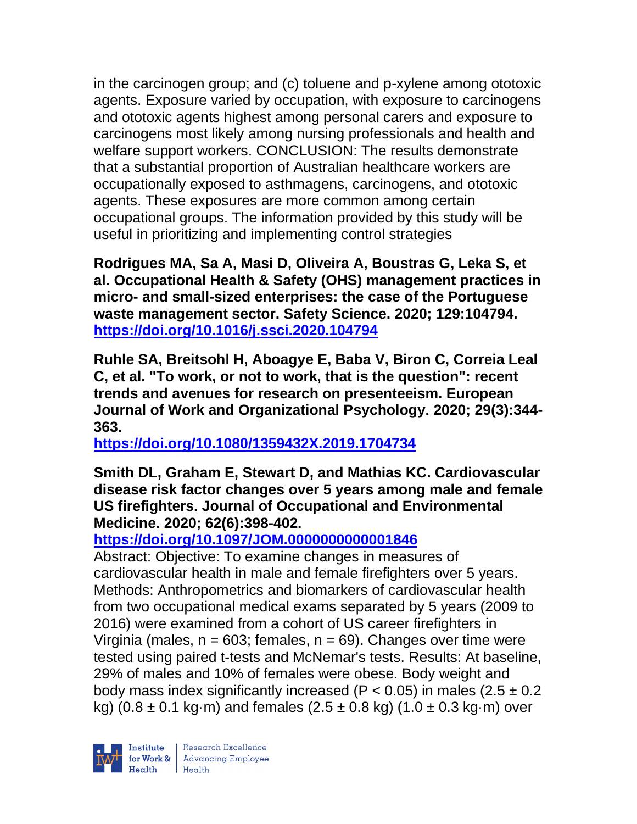in the carcinogen group; and (c) toluene and p-xylene among ototoxic agents. Exposure varied by occupation, with exposure to carcinogens and ototoxic agents highest among personal carers and exposure to carcinogens most likely among nursing professionals and health and welfare support workers. CONCLUSION: The results demonstrate that a substantial proportion of Australian healthcare workers are occupationally exposed to asthmagens, carcinogens, and ototoxic agents. These exposures are more common among certain occupational groups. The information provided by this study will be useful in prioritizing and implementing control strategies

**Rodrigues MA, Sa A, Masi D, Oliveira A, Boustras G, Leka S, et al. Occupational Health & Safety (OHS) management practices in micro- and small-sized enterprises: the case of the Portuguese waste management sector. Safety Science. 2020; 129:104794. <https://doi.org/10.1016/j.ssci.2020.104794>** 

**Ruhle SA, Breitsohl H, Aboagye E, Baba V, Biron C, Correia Leal C, et al. "To work, or not to work, that is the question": recent trends and avenues for research on presenteeism. European Journal of Work and Organizational Psychology. 2020; 29(3):344- 363.** 

**<https://doi.org/10.1080/1359432X.2019.1704734>** 

**Smith DL, Graham E, Stewart D, and Mathias KC. Cardiovascular disease risk factor changes over 5 years among male and female US firefighters. Journal of Occupational and Environmental Medicine. 2020; 62(6):398-402.** 

# **<https://doi.org/10.1097/JOM.0000000000001846>**

Abstract: Objective: To examine changes in measures of cardiovascular health in male and female firefighters over 5 years. Methods: Anthropometrics and biomarkers of cardiovascular health from two occupational medical exams separated by 5 years (2009 to 2016) were examined from a cohort of US career firefighters in Virginia (males,  $n = 603$ ; females,  $n = 69$ ). Changes over time were tested using paired t-tests and McNemar's tests. Results: At baseline, 29% of males and 10% of females were obese. Body weight and body mass index significantly increased ( $P < 0.05$ ) in males (2.5  $\pm$  0.2 kg)  $(0.8 \pm 0.1 \text{ kg} \cdot \text{m})$  and females  $(2.5 \pm 0.8 \text{ kg})$   $(1.0 \pm 0.3 \text{ kg} \cdot \text{m})$  over

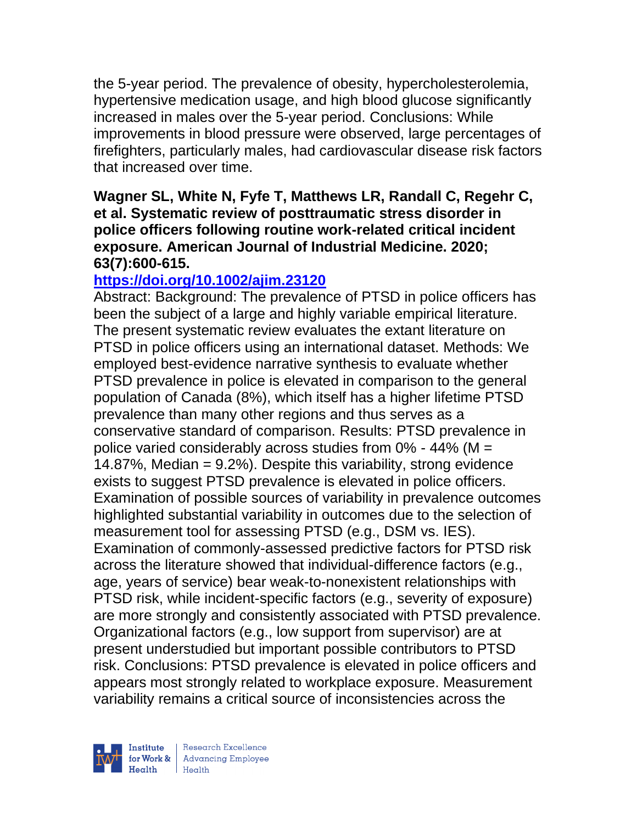the 5-year period. The prevalence of obesity, hypercholesterolemia, hypertensive medication usage, and high blood glucose significantly increased in males over the 5-year period. Conclusions: While improvements in blood pressure were observed, large percentages of firefighters, particularly males, had cardiovascular disease risk factors that increased over time.

## **Wagner SL, White N, Fyfe T, Matthews LR, Randall C, Regehr C, et al. Systematic review of posttraumatic stress disorder in police officers following routine work-related critical incident exposure. American Journal of Industrial Medicine. 2020; 63(7):600-615.**

# **<https://doi.org/10.1002/ajim.23120>**

Abstract: Background: The prevalence of PTSD in police officers has been the subject of a large and highly variable empirical literature. The present systematic review evaluates the extant literature on PTSD in police officers using an international dataset. Methods: We employed best-evidence narrative synthesis to evaluate whether PTSD prevalence in police is elevated in comparison to the general population of Canada (8%), which itself has a higher lifetime PTSD prevalence than many other regions and thus serves as a conservative standard of comparison. Results: PTSD prevalence in police varied considerably across studies from 0% - 44% (M = 14.87%, Median = 9.2%). Despite this variability, strong evidence exists to suggest PTSD prevalence is elevated in police officers. Examination of possible sources of variability in prevalence outcomes highlighted substantial variability in outcomes due to the selection of measurement tool for assessing PTSD (e.g., DSM vs. IES). Examination of commonly-assessed predictive factors for PTSD risk across the literature showed that individual-difference factors (e.g., age, years of service) bear weak-to-nonexistent relationships with PTSD risk, while incident-specific factors (e.g., severity of exposure) are more strongly and consistently associated with PTSD prevalence. Organizational factors (e.g., low support from supervisor) are at present understudied but important possible contributors to PTSD risk. Conclusions: PTSD prevalence is elevated in police officers and appears most strongly related to workplace exposure. Measurement variability remains a critical source of inconsistencies across the



| Research Excellence for Work & Advancing Employee<br>Health Health